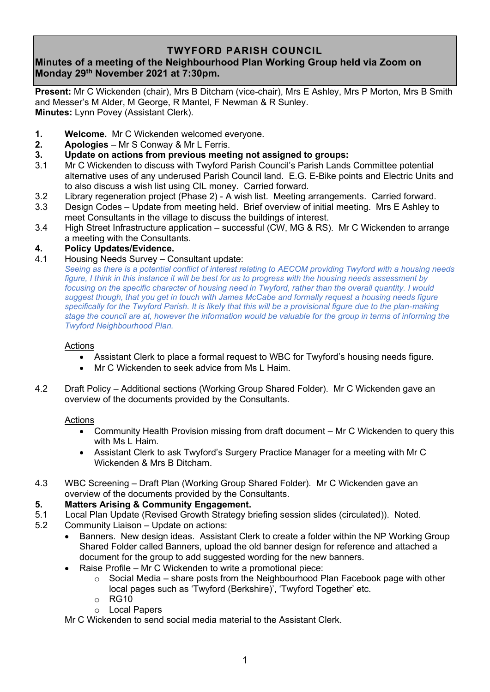# **TWYFORD PARISH COUNCIL**

# **Minutes of a meeting of the Neighbourhood Plan Working Group held via Zoom on Monday 29th November 2021 at 7:30pm.**

**Present:** Mr C Wickenden (chair), Mrs B Ditcham (vice-chair), Mrs E Ashley, Mrs P Morton, Mrs B Smith and Messer's M Alder, M George, R Mantel, F Newman & R Sunley. **Minutes:** Lynn Povey (Assistant Clerk).

- **1. Welcome.** Mr C Wickenden welcomed everyone.
- **2. Apologies** Mr S Conway & Mr L Ferris.
- **3. Update on actions from previous meeting not assigned to groups:**
- 3.1 Mr C Wickenden to discuss with Twyford Parish Council's Parish Lands Committee potential alternative uses of any underused Parish Council land. E.G. E-Bike points and Electric Units and to also discuss a wish list using CIL money. Carried forward.
- 3.2 Library regeneration project (Phase 2) A wish list. Meeting arrangements. Carried forward.
- 3.3 Design Codes Update from meeting held. Brief overview of initial meeting. Mrs E Ashley to meet Consultants in the village to discuss the buildings of interest.
- 3.4 High Street Infrastructure application successful (CW, MG & RS). Mr C Wickenden to arrange a meeting with the Consultants.

## **4. Policy Updates/Evidence.**

### 4.1 Housing Needs Survey – Consultant update:

*Seeing as there is a potential conflict of interest relating to AECOM providing Twyford with a housing needs figure, I think in this instance it will be best for us to progress with the housing needs assessment by focusing on the specific character of housing need in Twyford, rather than the overall quantity. I would suggest though, that you get in touch with James McCabe and formally request a housing needs figure specifically for the Twyford Parish. It is likely that this will be a provisional figure due to the plan-making stage the council are at, however the information would be valuable for the group in terms of informing the Twyford Neighbourhood Plan.*

#### Actions

- Assistant Clerk to place a formal request to WBC for Twyford's housing needs figure.
- Mr C Wickenden to seek advice from Ms L Haim.
- 4.2 Draft Policy Additional sections (Working Group Shared Folder). Mr C Wickenden gave an overview of the documents provided by the Consultants.

### Actions

- Community Health Provision missing from draft document Mr C Wickenden to query this with Ms L Haim.
- Assistant Clerk to ask Twyford's Surgery Practice Manager for a meeting with Mr C Wickenden & Mrs B Ditcham.
- 4.3 WBC Screening Draft Plan (Working Group Shared Folder). Mr C Wickenden gave an overview of the documents provided by the Consultants.

### **5. Matters Arising & Community Engagement.**

- 5.1 Local Plan Update (Revised Growth Strategy briefing session slides (circulated)). Noted.
- 5.2 Community Liaison Update on actions:
	- Banners. New design ideas. Assistant Clerk to create a folder within the NP Working Group Shared Folder called Banners, upload the old banner design for reference and attached a document for the group to add suggested wording for the new banners.
	- Raise Profile Mr C Wickenden to write a promotional piece:
		- $\circ$  Social Media share posts from the Neighbourhood Plan Facebook page with other local pages such as 'Twyford (Berkshire)', 'Twyford Together' etc.
		- $\circ$  RG10
		- o Local Papers

Mr C Wickenden to send social media material to the Assistant Clerk.